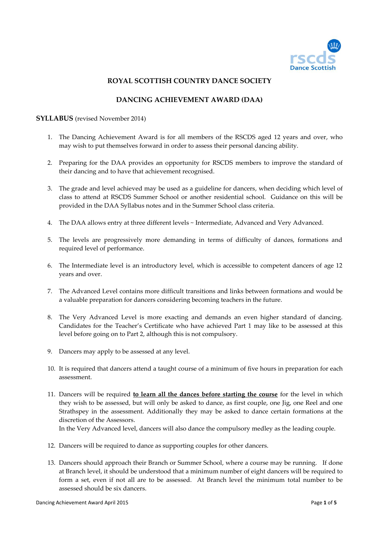

### **ROYAL SCOTTISH COUNTRY DANCE SOCIETY**

### **DANCING ACHIEVEMENT AWARD (DAA)**

### **SYLLABUS** (revised November 2014)

- 1. The Dancing Achievement Award is for all members of the RSCDS aged 12 years and over, who may wish to put themselves forward in order to assess their personal dancing ability.
- 2. Preparing for the DAA provides an opportunity for RSCDS members to improve the standard of their dancing and to have that achievement recognised.
- 3. The grade and level achieved may be used as a guideline for dancers, when deciding which level of class to attend at RSCDS Summer School or another residential school. Guidance on this will be provided in the DAA Syllabus notes and in the Summer School class criteria.
- 4. The DAA allows entry at three different levels ~ Intermediate, Advanced and Very Advanced.
- 5. The levels are progressively more demanding in terms of difficulty of dances, formations and required level of performance.
- 6. The Intermediate level is an introductory level, which is accessible to competent dancers of age 12 years and over.
- 7. The Advanced Level contains more difficult transitions and links between formations and would be a valuable preparation for dancers considering becoming teachers in the future.
- 8. The Very Advanced Level is more exacting and demands an even higher standard of dancing. Candidates for the Teacher's Certificate who have achieved Part 1 may like to be assessed at this level before going on to Part 2, although this is not compulsory.
- 9. Dancers may apply to be assessed at any level.
- 10. It is required that dancers attend a taught course of a minimum of five hours in preparation for each assessment.
- 11. Dancers will be required **to learn all the dances before starting the course** for the level in which they wish to be assessed, but will only be asked to dance, as first couple, one Jig, one Reel and one Strathspey in the assessment. Additionally they may be asked to dance certain formations at the discretion of the Assessors. In the Very Advanced level, dancers will also dance the compulsory medley as the leading couple.
	-
- 12. Dancers will be required to dance as supporting couples for other dancers.
- 13. Dancers should approach their Branch or Summer School, where a course may be running. If done at Branch level, it should be understood that a minimum number of eight dancers will be required to form a set, even if not all are to be assessed. At Branch level the minimum total number to be assessed should be six dancers.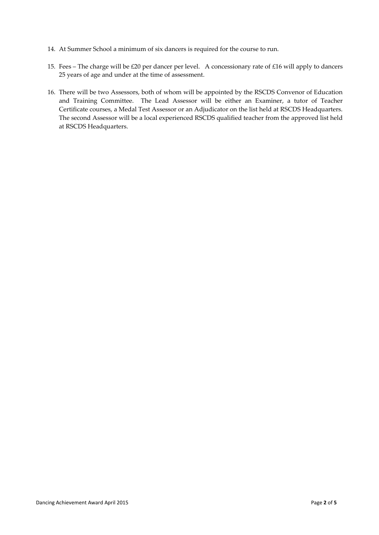- 14. At Summer School a minimum of six dancers is required for the course to run.
- 15. Fees The charge will be £20 per dancer per level. A concessionary rate of £16 will apply to dancers 25 years of age and under at the time of assessment.
- 16. There will be two Assessors, both of whom will be appointed by the RSCDS Convenor of Education and Training Committee. The Lead Assessor will be either an Examiner, a tutor of Teacher Certificate courses, a Medal Test Assessor or an Adjudicator on the list held at RSCDS Headquarters. The second Assessor will be a local experienced RSCDS qualified teacher from the approved list held at RSCDS Headquarters.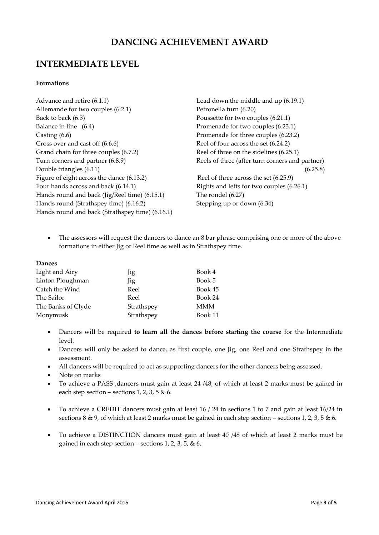## **DANCING ACHIEVEMENT AWARD**

## **INTERMEDIATE LEVEL**

### **Formations**

Advance and retire (6.1.1) Lead down the middle and up (6.19.1) Allemande for two couples (6.2.1) Petronella turn (6.20) Back to back (6.3) Poussette for two couples (6.21.1) Balance in line (6.4) Promenade for two couples (6.23.1) Casting (6.6) Promenade for three couples (6.23.2) Cross over and cast off (6.6.6) Reel of four across the set (6.24.2) Grand chain for three couples (6.7.2) Reel of three on the sidelines (6.25.1) Turn corners and partner (6.8.9) Reels of three (after turn corners and partner) Double triangles (6.11) (6.25.8) Figure of eight across the dance (6.13.2) Reel of three across the set (6.25.9) Four hands across and back (6.14.1) Rights and lefts for two couples (6.26.1) Hands round and back (Jig/Reel time) (6.15.1) The rondel (6.27) Hands round (Strathspey time) (6.16.2) Stepping up or down (6.34) Hands round and back (Strathspey time) (6.16.1)

• The assessors will request the dancers to dance an 8 bar phrase comprising one or more of the above formations in either Jig or Reel time as well as in Strathspey time.

### **Dances**

| Light and Airy     | Jig        | Book 4  |
|--------------------|------------|---------|
| Linton Ploughman   | Jig        | Book 5  |
| Catch the Wind     | Reel       | Book 45 |
| The Sailor         | Reel       | Book 24 |
| The Banks of Clyde | Strathspey | MMM     |
| Monymusk           | Strathspey | Book 11 |

- Dancers will be required **to learn all the dances before starting the course** for the Intermediate level.
- Dancers will only be asked to dance, as first couple, one Jig, one Reel and one Strathspey in the assessment.
- All dancers will be required to act as supporting dancers for the other dancers being assessed.
- Note on marks
- To achieve a PASS ,dancers must gain at least 24 /48, of which at least 2 marks must be gained in each step section – sections 1, 2, 3, 5  $\&$  6.
- To achieve a CREDIT dancers must gain at least 16 / 24 in sections 1 to 7 and gain at least 16/24 in sections 8 & 9, of which at least 2 marks must be gained in each step section – sections 1, 2, 3, 5 & 6.
- To achieve a DISTINCTION dancers must gain at least 40 /48 of which at least 2 marks must be gained in each step section – sections 1, 2, 3, 5,  $\&$  6.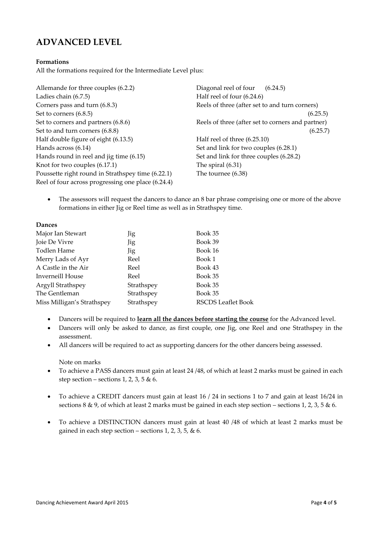# **ADVANCED LEVEL**

### **Formations**

All the formations required for the Intermediate Level plus:

Allemande for three couples (6.2.2) Diagonal reel of four (6.24.5) Ladies chain (6.7.5) Half reel of four (6.24.6) Corners pass and turn (6.8.3) Reels of three (after set to and turn corners) Set to corners (6.8.5) (6.25.5) Set to corners and partners (6.8.6) Reels of three (after set to corners and partner) Set to and turn corners  $(6.8.8)$  (6.25.7) Half double figure of eight (6.13.5) Half reel of three (6.25.10) Hands across (6.14) Set and link for two couples (6.28.1) Hands round in reel and jig time (6.15) Set and link for three couples (6.28.2) Knot for two couples (6.17.1) The spiral (6.31) Poussette right round in Strathspey time (6.22.1) The tournee (6.38) Reel of four across progressing one place (6.24.4)

 The assessors will request the dancers to dance an 8 bar phrase comprising one or more of the above formations in either Jig or Reel time as well as in Strathspey time.

#### **Dances**

| Major Ian Stewart          | Jig        | Book 35                   |
|----------------------------|------------|---------------------------|
| Joie De Vivre              | Jig        | Book 39                   |
| Todlen Hame                | Jig        | Book 16                   |
| Merry Lads of Ayr          | Reel       | Book 1                    |
| A Castle in the Air        | Reel       | Book 43                   |
| Inverneill House           | Reel       | Book 35                   |
| Argyll Strathspey          | Strathspey | Book 35                   |
| The Gentleman              | Strathspey | Book 35                   |
| Miss Milligan's Strathspey | Strathspey | <b>RSCDS Leaflet Book</b> |

- Dancers will be required to **learn all the dances before starting the course** for the Advanced level.
- Dancers will only be asked to dance, as first couple, one Jig, one Reel and one Strathspey in the assessment.
- All dancers will be required to act as supporting dancers for the other dancers being assessed.

Note on marks

- To achieve a PASS dancers must gain at least 24 /48, of which at least 2 marks must be gained in each step section – sections 1, 2, 3, 5 & 6.
- To achieve a CREDIT dancers must gain at least 16 / 24 in sections 1 to 7 and gain at least 16/24 in sections 8 & 9, of which at least 2 marks must be gained in each step section – sections 1, 2, 3, 5 & 6.
- To achieve a DISTINCTION dancers must gain at least 40 /48 of which at least 2 marks must be gained in each step section – sections 1, 2, 3, 5,  $\&$  6.